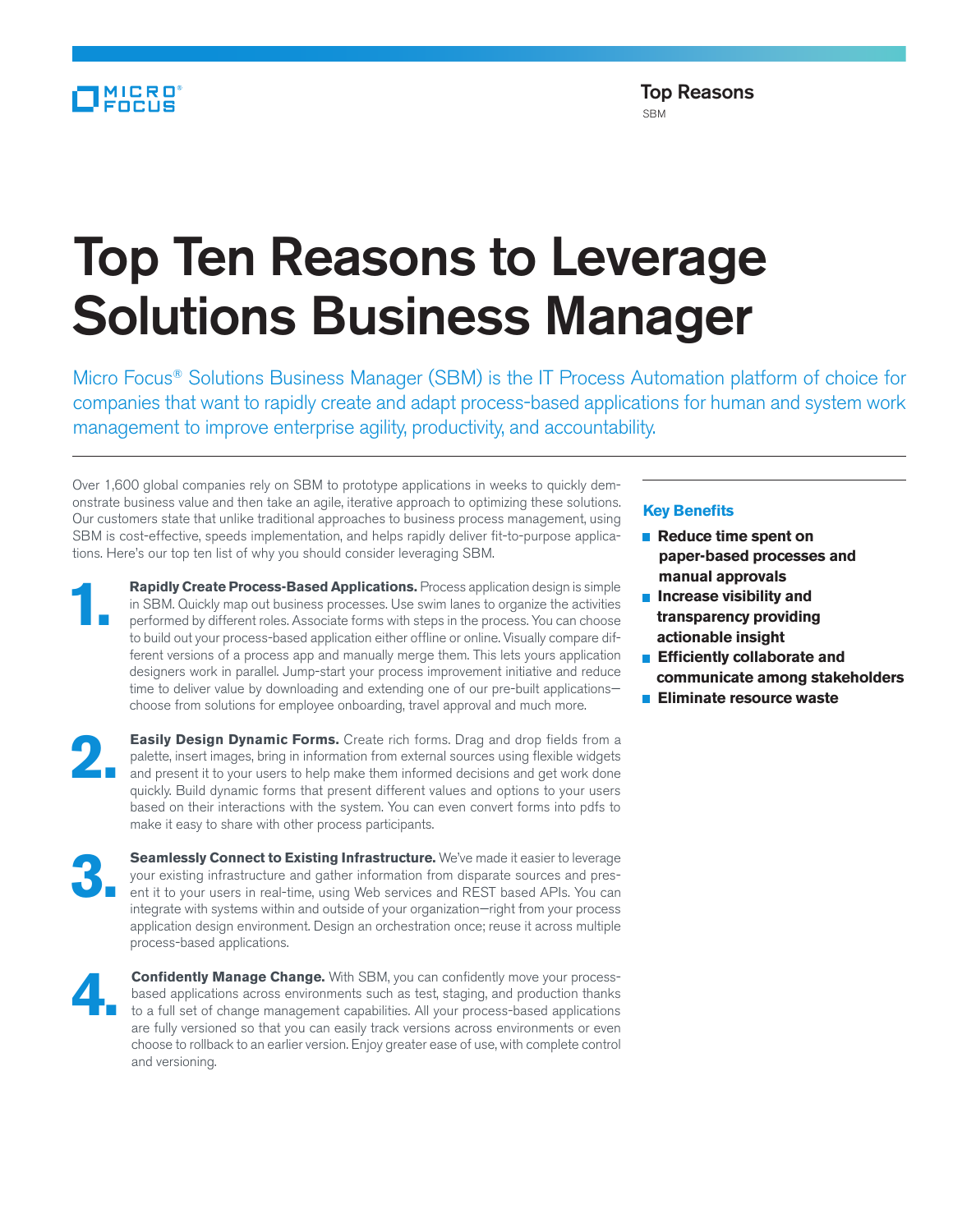## MICRO

## Top Ten Reasons to Leverage Solutions Business Manager

Micro Focus® Solutions Business Manager (SBM) is the IT Process Automation platform of choice for companies that want to rapidly create and adapt process-based applications for human and system work management to improve enterprise agility, productivity, and accountability.

Over 1,600 global companies rely on SBM to prototype applications in weeks to quickly demonstrate business value and then take an agile, iterative approach to optimizing these solutions. Our customers state that unlike traditional approaches to business process management, using SBM is cost-effective, speeds implementation, and helps rapidly deliver fit-to-purpose applications. Here's our top ten list of why you should consider leveraging SBM.

**1. Rapidly Create Process-Based Applications.** Process application design is simple in SBM. Quickly map out business processes. Use swim lanes to organize the activities performed by different roles. Associate forms with in SBM. Quickly map out business processes. Use swim lanes to organize the activities to build out your process-based application either offline or online. Visually compare different versions of a process app and manually merge them. This lets yours application designers work in parallel. Jump-start your process improvement initiative and reduce time to deliver value by downloading and extending one of our pre-built applications choose from solutions for employee onboarding, travel approval and much more.

**2. Easily Design Dynamic Forms.** Create rich forms. Drag and drop fields from a palette, insert images, bring in information from external sources using flexible widgets and present it to your users to help make them info palette, insert images, bring in information from external sources using flexible widgets and present it to your users to help make them informed decisions and get work done quickly. Build dynamic forms that present different values and options to your users based on their interactions with the system. You can even convert forms into pdfs to make it easy to share with other process participants.

**3. Seamlessly Connect to Existing Infrastructure.** We've made it easier to leverage your existing infrastructure and gather information from disparate sources and present it to your users in real-time, using Web services your existing infrastructure and gather information from disparate sources and presintegrate with systems within and outside of your organization—right from your process application design environment. Design an orchestration once; reuse it across multiple process-based applications.



**4. Confidently Manage Change.** With SBM, you can confidently move your process-based applications across environments such as test, staging, and production thanks to a full set of change management capabilities. All your based applications across environments such as test, staging, and production thanks to a full set of change management capabilities. All your process-based applications are fully versioned so that you can easily track versions across environments or even choose to rollback to an earlier version. Enjoy greater ease of use, with complete control and versioning.

## **Key Benefits**

- $\blacksquare$  Reduce time spent on **paper-based processes and manual approvals**
- **Increase visibility and transparency providing actionable insight**
- **Efficiently collaborate and communicate among stakeholders**
- **Eliminate resource waste**